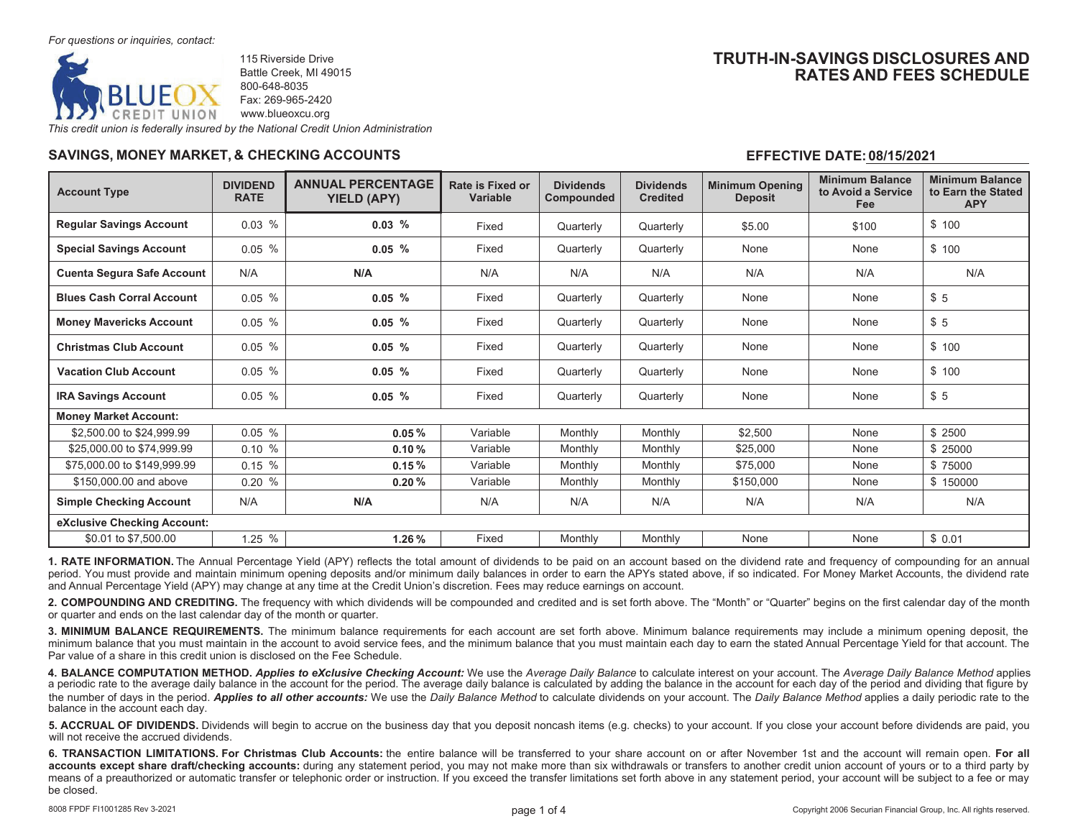

115 Riverside DriveBattle Creek, MI 49015 800-648-8035Fax: 269-965-2420www.blueoxcu.org

# **TRUTH-IN-SAVINGS DISCLOSURES ANDRATES AND FEES SCHEDULE**

*This credit union is federally insured by the National Credit Union Administration*

## **SAVINGS, MONEY MARKET, & CHECKING ACCOUNTS**

## **EFFECTIVE DATE:08/15/2021**

| <b>Account Type</b>               | <b>DIVIDEND</b><br><b>RATE</b> | <b>ANNUAL PERCENTAGE</b><br><b>YIELD (APY)</b> | Rate is Fixed or<br><b>Variable</b> | <b>Dividends</b><br>Compounded | <b>Dividends</b><br><b>Credited</b> | <b>Minimum Opening</b><br><b>Deposit</b> | <b>Minimum Balance</b><br>to Avoid a Service<br>Fee | <b>Minimum Balance</b><br>to Earn the Stated<br><b>APY</b> |  |  |
|-----------------------------------|--------------------------------|------------------------------------------------|-------------------------------------|--------------------------------|-------------------------------------|------------------------------------------|-----------------------------------------------------|------------------------------------------------------------|--|--|
| <b>Regular Savings Account</b>    | $0.03\%$                       | 0.03%                                          | Fixed                               | Quarterly                      | Quarterly                           | \$5.00                                   | \$100                                               | \$100                                                      |  |  |
| <b>Special Savings Account</b>    | 0.05%                          | $0.05\%$                                       | Fixed                               | Quarterly                      | Quarterly                           | None                                     | None                                                | \$100                                                      |  |  |
| <b>Cuenta Segura Safe Account</b> | N/A                            | N/A                                            | N/A                                 | N/A                            | N/A                                 | N/A                                      | N/A                                                 | N/A                                                        |  |  |
| <b>Blues Cash Corral Account</b>  | $0.05\%$                       | 0.05%                                          | Fixed                               | Quarterly                      | Quarterly                           | None                                     | None                                                | \$5                                                        |  |  |
| <b>Money Mavericks Account</b>    | $0.05\%$                       | 0.05%                                          | Fixed                               | Quarterly                      | Quarterly                           | None                                     | None                                                | \$5                                                        |  |  |
| <b>Christmas Club Account</b>     | 0.05%                          | $0.05\%$                                       | Fixed                               | Quarterly                      | Quarterly                           | None                                     | None                                                | \$100                                                      |  |  |
| <b>Vacation Club Account</b>      | 0.05%                          | $0.05\%$                                       | Fixed                               | Quarterly                      | Quarterly                           | None                                     | None                                                | \$100                                                      |  |  |
| <b>IRA Savings Account</b>        | 0.05%                          | $0.05\%$                                       | Fixed                               | Quarterly                      | Quarterly                           | None                                     | None                                                | \$5                                                        |  |  |
| <b>Money Market Account:</b>      |                                |                                                |                                     |                                |                                     |                                          |                                                     |                                                            |  |  |
| \$2,500.00 to \$24,999.99         | $0.05\%$                       | 0.05%                                          | Variable                            | Monthly                        | Monthly                             | \$2,500                                  | None                                                | \$2500                                                     |  |  |
| \$25,000.00 to \$74,999.99        | 0.10%                          | 0.10%                                          | Variable                            | Monthly                        | Monthly                             | \$25,000                                 | None                                                | \$25000                                                    |  |  |
| \$75,000,00 to \$149,999.99       | $0.15 \%$                      | 0.15%                                          | Variable                            | Monthly                        | Monthly                             | \$75,000                                 | None                                                | \$75000                                                    |  |  |
| \$150,000,00 and above            | 0.20%                          | 0.20%                                          | Variable                            | Monthly                        | Monthly                             | \$150,000                                | None                                                | \$150000                                                   |  |  |
| <b>Simple Checking Account</b>    | N/A                            | N/A                                            | N/A                                 | N/A                            | N/A                                 | N/A                                      | N/A                                                 | N/A                                                        |  |  |
| eXclusive Checking Account:       |                                |                                                |                                     |                                |                                     |                                          |                                                     |                                                            |  |  |
| \$0.01 to \$7,500.00              | 1.25 %                         | 1.26%                                          | Fixed                               | Monthly                        | Monthly                             | None                                     | None                                                | \$0.01                                                     |  |  |

**1. RATE INFORMATION.** The Annual Percentage Yield (APY) reflects the total amount of dividends to be paid on an account based on the dividend rate and frequency of compounding for an annual period. You must provide and maintain minimum opening deposits and/or minimum daily balances in order to earn the APYs stated above, if so indicated. For Money Market Accounts, the dividend rate and Annual Percentage Yield (APY) may change at any time at the Credit Union's discretion. Fees may reduce earnings on account.

**2. COMPOUNDING AND CREDITING.** The frequency with which dividends will be compounded and credited and is set forth above. The "Month" or "Quarter" begins on the first calendar day of the monthor quarter and ends on the last calendar day of the month or quarter.

**3. MINIMUM BALANCE REQUIREMENTS.** The minimum balance requirements for each account are set forth above. Minimum balance requirements may include a minimum opening deposit, the minimum balance that you must maintain in the account to avoid service fees, and the minimum balance that you must maintain each day to earn the stated Annual Percentage Yield for that account. ThePar value of a share in this credit union is disclosed on the Fee Schedule.

**4. BALANCE COMPUTATION METHOD.** *Applies to eXclusive Checking Account:* We use the *Average Daily Balance* to calculate interest on your account. The *Average Daily Balance Method* applies a periodic rate to the average daily balance in the account for the period. The average daily balance is calculated by adding the balance in the account for each day of the period and dividing that figure by the number of days in the period. *Applies to all other accounts:* We use the *Daily Balance Method* to calculate dividends on your account. The *Daily Balance Method* applies a daily periodic rate to the balance in the account each day.

**5.** ACCRUAL OF DIVIDENDS. Dividends will begin to accrue on the business day that you deposit noncash items (e.g. checks) to your account. If you close your account before dividends are paid, you will not receive the accrued dividends.

6. TRANSACTION LIMITATIONS. For Christmas Club Accounts: the entire balance will be transferred to your share account on or after November 1st and the account will remain open. For all accounts except share draft/checking accounts: during any statement period, you may not make more than six withdrawals or transfers to another credit union account of yours or to a third party by means of a preauthorized or automatic transfer or telephonic order or instruction. If you exceed the transfer limitations set forth above in any statement period, your account will be subject to a fee or may be closed.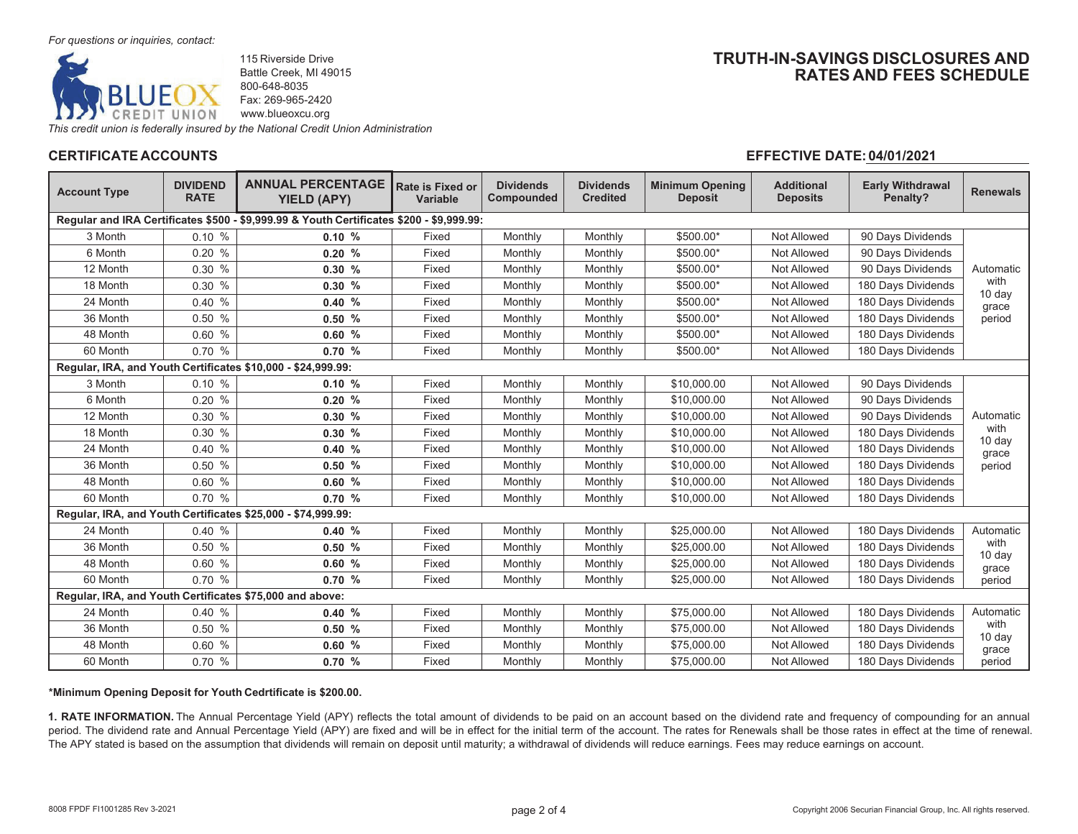

115 Riverside DriveBattle Creek, MI 49015 800-648-8035Fax: 269-965-2420www.blueoxcu.org

*This credit union is federally insured by the National Credit Union Administration*

# **CERTIFICATE ACCOUNTS**

# **TRUTH-IN-SAVINGS DISCLOSURES ANDRATES AND FEES SCHEDULE**

## **EFFECTIVE DATE: 04/01/2021**

| <b>Account Type</b>                                                                      | <b>DIVIDEND</b><br><b>RATE</b> | <b>ANNUAL PERCENTAGE</b><br><b>YIELD (APY)</b>               | <b>Rate is Fixed or</b><br><b>Variable</b> | <b>Dividends</b><br>Compounded | <b>Dividends</b><br><b>Credited</b> | <b>Minimum Opening</b><br><b>Deposit</b> | <b>Additional</b><br><b>Deposits</b> | <b>Early Withdrawal</b><br>Penalty? | <b>Renewals</b> |  |  |  |
|------------------------------------------------------------------------------------------|--------------------------------|--------------------------------------------------------------|--------------------------------------------|--------------------------------|-------------------------------------|------------------------------------------|--------------------------------------|-------------------------------------|-----------------|--|--|--|
| Regular and IRA Certificates \$500 - \$9,999.99 & Youth Certificates \$200 - \$9,999.99: |                                |                                                              |                                            |                                |                                     |                                          |                                      |                                     |                 |  |  |  |
| 3 Month                                                                                  | 0.10%                          | 0.10%                                                        | Fixed                                      | Monthly                        | Monthly                             | \$500.00*                                | <b>Not Allowed</b>                   | 90 Days Dividends                   |                 |  |  |  |
| 6 Month                                                                                  | 0.20%                          | 0.20%                                                        | Fixed                                      | Monthly                        | Monthly                             | \$500.00*                                | Not Allowed                          | 90 Days Dividends                   |                 |  |  |  |
| 12 Month                                                                                 | 0.30%                          | 0.30%                                                        | Fixed                                      | Monthly                        | Monthly                             | \$500.00*                                | Not Allowed                          | 90 Days Dividends                   | Automatic       |  |  |  |
| 18 Month                                                                                 | 0.30%                          | 0.30%                                                        | Fixed                                      | Monthly                        | Monthly                             | \$500.00*                                | Not Allowed                          | 180 Days Dividends                  | with<br>10 day  |  |  |  |
| 24 Month                                                                                 | 0.40%                          | 0.40%                                                        | Fixed                                      | Monthly                        | Monthly                             | \$500.00*                                | Not Allowed                          | 180 Days Dividends                  | grace           |  |  |  |
| 36 Month                                                                                 | 0.50%                          | 0.50%                                                        | Fixed                                      | Monthly                        | Monthly                             | \$500.00*                                | <b>Not Allowed</b>                   | 180 Days Dividends                  | period          |  |  |  |
| 48 Month                                                                                 | 0.60%                          | 0.60%                                                        | Fixed                                      | Monthly                        | Monthly                             | \$500.00*                                | Not Allowed                          | 180 Days Dividends                  |                 |  |  |  |
| 60 Month                                                                                 | 0.70%                          | 0.70%                                                        | Fixed                                      | Monthly                        | Monthly                             | \$500.00*                                | Not Allowed                          | 180 Days Dividends                  |                 |  |  |  |
|                                                                                          |                                | Regular, IRA, and Youth Certificates \$10,000 - \$24,999.99: |                                            |                                |                                     |                                          |                                      |                                     |                 |  |  |  |
| 3 Month                                                                                  | 0.10%                          | 0.10%                                                        | Fixed                                      | Monthly                        | Monthly                             | \$10,000.00                              | Not Allowed                          | 90 Days Dividends                   |                 |  |  |  |
| 6 Month                                                                                  | 0.20%                          | 0.20%                                                        | Fixed                                      | Monthly                        | Monthly                             | \$10,000.00                              | Not Allowed                          | 90 Days Dividends                   |                 |  |  |  |
| 12 Month                                                                                 | 0.30%                          | 0.30%                                                        | Fixed                                      | Monthly                        | Monthly                             | \$10,000.00                              | <b>Not Allowed</b>                   | 90 Days Dividends                   | Automatic       |  |  |  |
| 18 Month                                                                                 | 0.30%                          | 0.30%                                                        | Fixed                                      | Monthly                        | Monthly                             | \$10,000.00                              | Not Allowed                          | 180 Days Dividends                  | with            |  |  |  |
| 24 Month                                                                                 | 0.40%                          | 0.40%                                                        | Fixed                                      | Monthly                        | Monthly                             | \$10,000.00                              | Not Allowed                          | 180 Days Dividends                  | 10 day<br>grace |  |  |  |
| 36 Month                                                                                 | 0.50%                          | 0.50%                                                        | Fixed                                      | Monthly                        | Monthly                             | \$10,000.00                              | <b>Not Allowed</b>                   | 180 Days Dividends                  | period          |  |  |  |
| 48 Month                                                                                 | 0.60%                          | 0.60%                                                        | Fixed                                      | Monthly                        | Monthly                             | \$10,000.00                              | Not Allowed                          | 180 Days Dividends                  |                 |  |  |  |
| 60 Month                                                                                 | 0.70%                          | 0.70%                                                        | Fixed                                      | Monthly                        | Monthly                             | \$10,000.00                              | Not Allowed                          | 180 Days Dividends                  |                 |  |  |  |
|                                                                                          |                                | Regular, IRA, and Youth Certificates \$25,000 - \$74,999.99: |                                            |                                |                                     |                                          |                                      |                                     |                 |  |  |  |
| 24 Month                                                                                 | 0.40%                          | 0.40%                                                        | Fixed                                      | Monthly                        | Monthly                             | \$25,000.00                              | Not Allowed                          | 180 Days Dividends                  | Automatic       |  |  |  |
| 36 Month                                                                                 | 0.50%                          | 0.50%                                                        | Fixed                                      | Monthly                        | Monthly                             | \$25,000.00                              | <b>Not Allowed</b>                   | 180 Days Dividends                  | with            |  |  |  |
| 48 Month                                                                                 | 0.60%                          | 0.60%                                                        | Fixed                                      | Monthly                        | Monthly                             | \$25,000.00                              | <b>Not Allowed</b>                   | 180 Days Dividends                  | 10 day<br>grace |  |  |  |
| 60 Month                                                                                 | 0.70 %                         | 0.70%                                                        | Fixed                                      | Monthly                        | Monthly                             | \$25,000.00                              | Not Allowed                          | 180 Days Dividends                  | period          |  |  |  |
| Regular, IRA, and Youth Certificates \$75,000 and above:                                 |                                |                                                              |                                            |                                |                                     |                                          |                                      |                                     |                 |  |  |  |
| 24 Month                                                                                 | 0.40%                          | 0.40%                                                        | Fixed                                      | Monthly                        | Monthly                             | \$75,000.00                              | Not Allowed                          | 180 Days Dividends                  | Automatic       |  |  |  |
| 36 Month                                                                                 | 0.50%                          | 0.50%                                                        | Fixed                                      | Monthly                        | Monthly                             | \$75,000.00                              | Not Allowed                          | 180 Days Dividends                  | with            |  |  |  |
| 48 Month                                                                                 | 0.60%                          | 0.60%                                                        | Fixed                                      | Monthly                        | Monthly                             | \$75,000.00                              | <b>Not Allowed</b>                   | 180 Days Dividends                  | 10 day<br>grace |  |  |  |
| 60 Month                                                                                 | 0.70%                          | 0.70%                                                        | Fixed                                      | Monthly                        | Monthly                             | \$75,000.00                              | Not Allowed                          | 180 Days Dividends                  | period          |  |  |  |

#### **\*Minimum Opening Deposit for Youth Cedrtificate is \$200.00.**

**1. RATE INFORMATION.** The Annual Percentage Yield (APY) reflects the total amount of dividends to be paid on an account based on the dividend rate and frequency of compounding for an annual period. The dividend rate and Annual Percentage Yield (APY) are fixed and will be in effect for the initial term of the account. The rates for Renewals shall be those rates in effect at the time of renewal. The APY stated is based on the assumption that dividends will remain on deposit until maturity; a withdrawal of dividends will reduce earnings. Fees may reduce earnings on account.